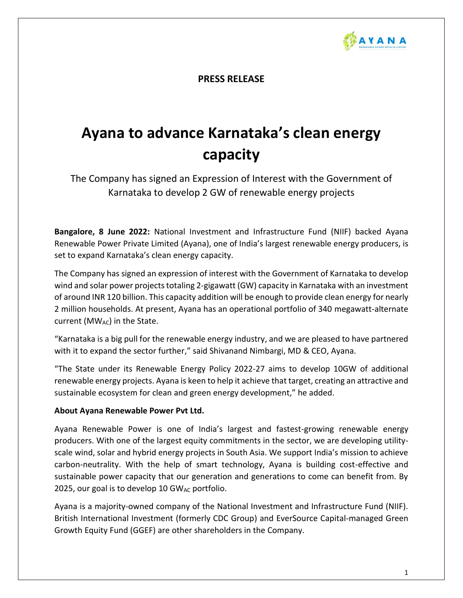

**PRESS RELEASE**

## **Ayana to advance Karnataka's clean energy capacity**

The Company has signed an Expression of Interest with the Government of Karnataka to develop 2 GW of renewable energy projects

**Bangalore, 8 June 2022:** National Investment and Infrastructure Fund (NIIF) backed Ayana Renewable Power Private Limited (Ayana), one of India's largest renewable energy producers, is set to expand Karnataka's clean energy capacity.

The Company has signed an expression of interest with the Government of Karnataka to develop wind and solar power projects totaling 2-gigawatt (GW) capacity in Karnataka with an investment of around INR 120 billion. This capacity addition will be enough to provide clean energy for nearly 2 million households. At present, Ayana has an operational portfolio of 340 megawatt-alternate current (MWAC) in the State.

"Karnataka is a big pull for the renewable energy industry, and we are pleased to have partnered with it to expand the sector further," said Shivanand Nimbargi, MD & CEO, Ayana.

"The State under its Renewable Energy Policy 2022-27 aims to develop 10GW of additional renewable energy projects. Ayana is keen to help it achieve that target, creating an attractive and sustainable ecosystem for clean and green energy development," he added.

## **About Ayana Renewable Power Pvt Ltd.**

Ayana Renewable Power is one of India's largest and fastest-growing renewable energy producers. With one of the largest equity commitments in the sector, we are developing utilityscale wind, solar and hybrid energy projects in South Asia. We support India's mission to achieve carbon-neutrality. With the help of smart technology, Ayana is building cost-effective and sustainable power capacity that our generation and generations to come can benefit from. By 2025, our goal is to develop 10 GW $_{AC}$  portfolio.

Ayana is a majority-owned company of the National Investment and Infrastructure Fund (NIIF). British International Investment (formerly CDC Group) and EverSource Capital-managed Green Growth Equity Fund (GGEF) are other shareholders in the Company.